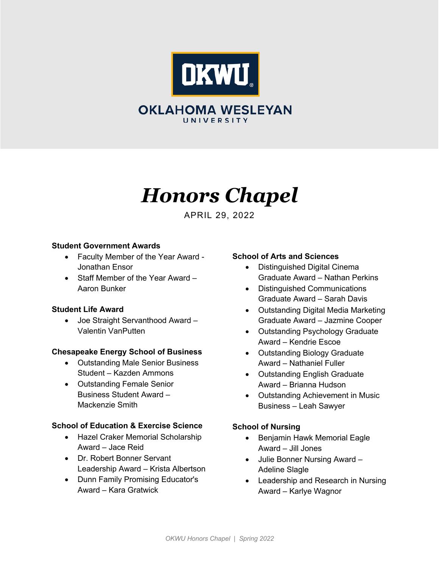

# **OKLAHOMA WESLEYAN** UNIVERSITY

# *Honors Chapel*

APRIL 29, 2022

## **Student Government Awards**

- Faculty Member of the Year Award Jonathan Ensor
- Staff Member of the Year Award Aaron Bunker

## **Student Life Award**

• Joe Straight Servanthood Award – Valentin VanPutten

## **Chesapeake Energy School of Business**

- Outstanding Male Senior Business Student – Kazden Ammons
- Outstanding Female Senior Business Student Award – Mackenzie Smith

#### **School of Education & Exercise Science**

- Hazel Craker Memorial Scholarship Award – Jace Reid
- Dr. Robert Bonner Servant Leadership Award – Krista Albertson
- Dunn Family Promising Educator's Award – Kara Gratwick

## **School of Arts and Sciences**

- Distinguished Digital Cinema Graduate Award – Nathan Perkins
- Distinguished Communications Graduate Award – Sarah Davis
- Outstanding Digital Media Marketing Graduate Award – Jazmine Cooper
- Outstanding Psychology Graduate Award – Kendrie Escoe
- Outstanding Biology Graduate Award – Nathaniel Fuller
- Outstanding English Graduate Award – Brianna Hudson
- Outstanding Achievement in Music Business – Leah Sawyer

## **School of Nursing**

- Benjamin Hawk Memorial Eagle Award – Jill Jones
- Julie Bonner Nursing Award Adeline Slagle
- Leadership and Research in Nursing Award – Karlye Wagnor